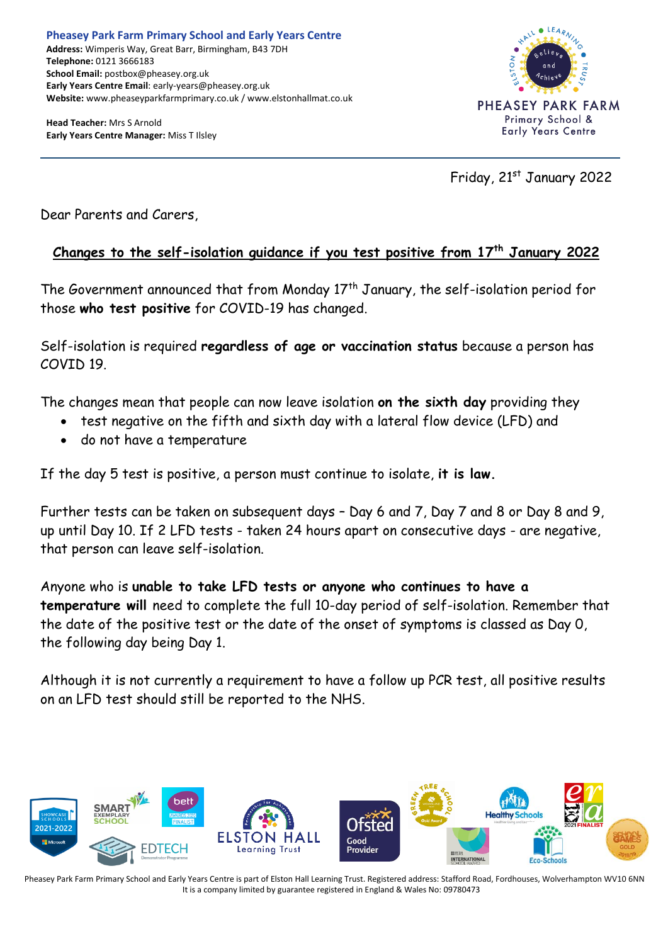**Head Teacher:** Mrs S Arnold **Early Years Centre Manager:** Miss T Ilsley



Friday, 21st January 2022

Dear Parents and Carers,

## **Changes to the self-isolation guidance if you test positive from 17th January 2022**

The Government announced that from Monday  $17<sup>th</sup>$  January, the self-isolation period for those **who test positive** for COVID-19 has changed.

Self-isolation is required **regardless of age or vaccination status** because a person has COVID 19.

The changes mean that people can now leave isolation **on the sixth day** providing they

- test negative on the fifth and sixth day with a lateral flow device (LFD) and
- do not have a temperature

If the day 5 test is positive, a person must continue to isolate, **it is law.**

Further tests can be taken on subsequent days – Day 6 and 7, Day 7 and 8 or Day 8 and 9, up until Day 10. If 2 LFD tests - taken 24 hours apart on consecutive days - are negative, that person can leave self-isolation.

Anyone who is **unable to take LFD tests or anyone who continues to have a temperature will** need to complete the full 10-day period of self-isolation. Remember that the date of the positive test or the date of the onset of symptoms is classed as Day 0, the following day being Day 1.

Although it is not currently a requirement to have a follow up PCR test, all positive results on an LFD test should still be reported to the NHS.



Pheasey Park Farm Primary School and Early Years Centre is part of Elston Hall Learning Trust. Registered address: Stafford Road, Fordhouses, Wolverhampton WV10 6NN It is a company limited by guarantee registered in England & Wales No: 09780473